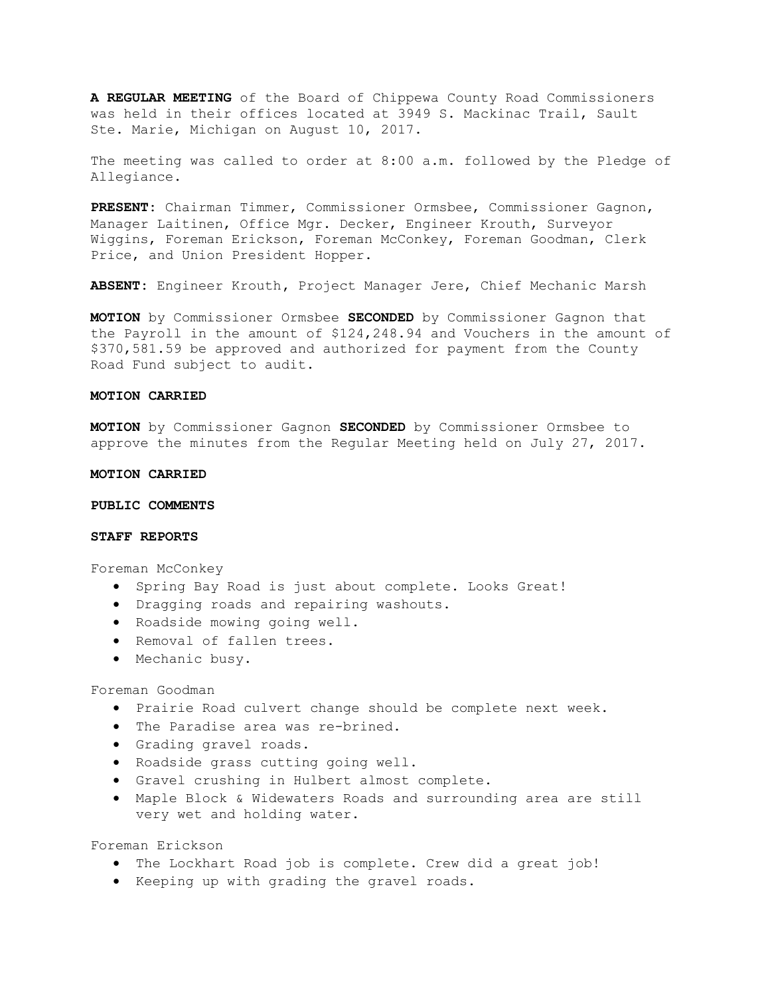**A REGULAR MEETING** of the Board of Chippewa County Road Commissioners was held in their offices located at 3949 S. Mackinac Trail, Sault Ste. Marie, Michigan on August 10, 2017.

The meeting was called to order at 8:00 a.m. followed by the Pledge of Allegiance.

**PRESENT:** Chairman Timmer, Commissioner Ormsbee, Commissioner Gagnon, Manager Laitinen, Office Mgr. Decker, Engineer Krouth, Surveyor Wiggins, Foreman Erickson, Foreman McConkey, Foreman Goodman, Clerk Price, and Union President Hopper.

**ABSENT:** Engineer Krouth**,** Project Manager Jere, Chief Mechanic Marsh

**MOTION** by Commissioner Ormsbee **SECONDED** by Commissioner Gagnon that the Payroll in the amount of \$124,248.94 and Vouchers in the amount of \$370,581.59 be approved and authorized for payment from the County Road Fund subject to audit.

# **MOTION CARRIED**

**MOTION** by Commissioner Gagnon **SECONDED** by Commissioner Ormsbee to approve the minutes from the Regular Meeting held on July 27, 2017.

#### **MOTION CARRIED**

# **PUBLIC COMMENTS**

### **STAFF REPORTS**

Foreman McConkey

- Spring Bay Road is just about complete. Looks Great!
- Dragging roads and repairing washouts.
- Roadside mowing going well.
- Removal of fallen trees.
- Mechanic busy.

### Foreman Goodman

- Prairie Road culvert change should be complete next week.
- The Paradise area was re-brined.
- Grading gravel roads.
- Roadside grass cutting going well.
- Gravel crushing in Hulbert almost complete.
- Maple Block & Widewaters Roads and surrounding area are still very wet and holding water.

Foreman Erickson

- The Lockhart Road job is complete. Crew did a great job!
- Keeping up with grading the gravel roads.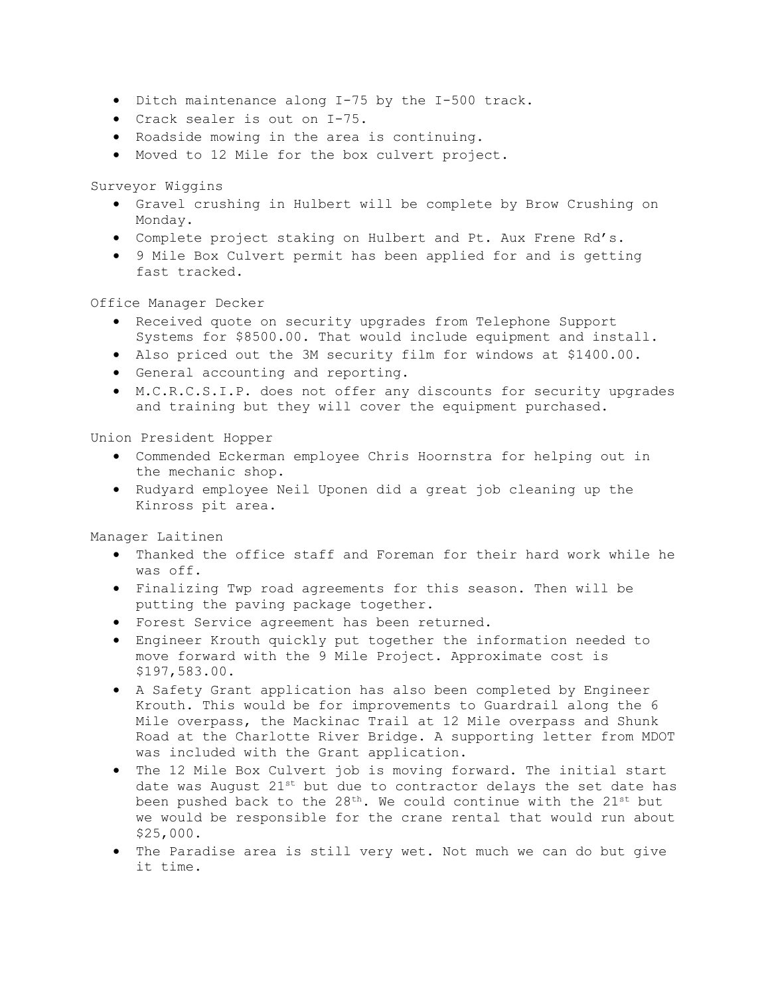- Ditch maintenance along I-75 by the I-500 track.
- Crack sealer is out on I-75.
- Roadside mowing in the area is continuing.
- Moved to 12 Mile for the box culvert project.

Surveyor Wiggins

- Gravel crushing in Hulbert will be complete by Brow Crushing on Monday.
- Complete project staking on Hulbert and Pt. Aux Frene Rd's.
- 9 Mile Box Culvert permit has been applied for and is getting fast tracked.

Office Manager Decker

- Received quote on security upgrades from Telephone Support Systems for \$8500.00. That would include equipment and install.
- Also priced out the 3M security film for windows at \$1400.00.
- General accounting and reporting.
- M.C.R.C.S.I.P. does not offer any discounts for security upgrades and training but they will cover the equipment purchased.

Union President Hopper

- Commended Eckerman employee Chris Hoornstra for helping out in the mechanic shop.
- Rudyard employee Neil Uponen did a great job cleaning up the Kinross pit area.

Manager Laitinen

- Thanked the office staff and Foreman for their hard work while he was off.
- Finalizing Twp road agreements for this season. Then will be putting the paving package together.
- Forest Service agreement has been returned.
- Engineer Krouth quickly put together the information needed to move forward with the 9 Mile Project. Approximate cost is \$197,583.00.
- A Safety Grant application has also been completed by Engineer Krouth. This would be for improvements to Guardrail along the 6 Mile overpass, the Mackinac Trail at 12 Mile overpass and Shunk Road at the Charlotte River Bridge. A supporting letter from MDOT was included with the Grant application.
- The 12 Mile Box Culvert job is moving forward. The initial start date was August 21st but due to contractor delays the set date has been pushed back to the  $28<sup>th</sup>$ . We could continue with the  $21<sup>st</sup>$  but we would be responsible for the crane rental that would run about \$25,000.
- The Paradise area is still very wet. Not much we can do but give it time.